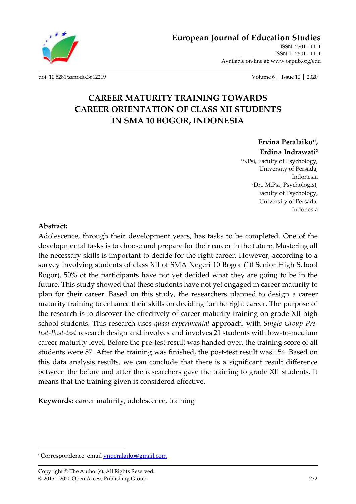

**[European Journal of Education Studies](http://oapub.org/edu/index.php/ejes)** [ISSN: 2501 -](http://oapub.org/edu/index.php/ejes) 1111

[ISSN-L: 2501 -](http://oapub.org/edu/index.php/ejes) 1111 Available on-line at**:** [www.oapub.org/edu](http://www.oapub.org/edu)

[doi: 10.5281/zenodo.3612219](http://dx.doi.org/10.5281/zenodo.3612219) Volume 6 │ Issue 10 │ 2020

# **CAREER MATURITY TRAINING TOWARDS CAREER ORIENTATION OF CLASS XII STUDENTS IN SMA 10 BOGOR, INDONESIA**

**Ervina Peralaiko1i , Erdina Indrawati 2**

<sup>1</sup>S.Psi, Faculty of Psychology, University of Persada, Indonesia <sup>2</sup>Dr., M.Psi, Psychologist, Faculty of Psychology, University of Persada, Indonesia

### **Abstract:**

Adolescence, through their development years, has tasks to be completed. One of the developmental tasks is to choose and prepare for their career in the future. Mastering all the necessary skills is important to decide for the right career. However, according to a survey involving students of class XII of SMA Negeri 10 Bogor (10 Senior High School Bogor), 50% of the participants have not yet decided what they are going to be in the future. This study showed that these students have not yet engaged in career maturity to plan for their career. Based on this study, the researchers planned to design a career maturity training to enhance their skills on deciding for the right career. The purpose of the research is to discover the effectively of career maturity training on grade XII high school students. This research uses *quasi-experimental* approach, with *Single Group Pretest-Post-test* research design and involves and involves 21 students with low-to-medium career maturity level. Before the pre-test result was handed over, the training score of all students were 57. After the training was finished, the post-test result was 154. Based on this data analysis results, we can conclude that there is a significant result difference between the before and after the researchers gave the training to grade XII students. It means that the training given is considered effective.

**Keywords:** career maturity, adolescence, training

<sup>&</sup>lt;sup>i</sup> Correspondence: email **ynperalaiko@gmail.com**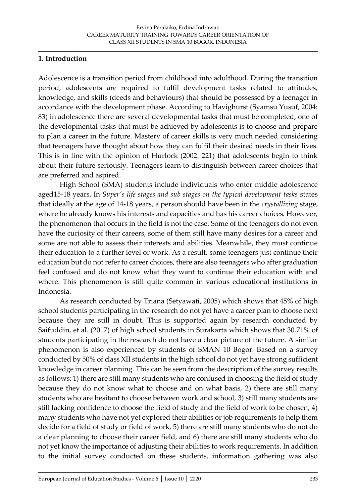### **1. Introduction**

Adolescence is a transition period from childhood into adulthood. During the transition period, adolescents are required to fulfil development tasks related to attitudes, knowledge, and skills (deeds and behaviours) that should be possessed by a teenager in accordance with the development phase. According to Havighurst (Syamsu Yusuf, 2004: 83) in adolescence there are several developmental tasks that must be completed, one of the developmental tasks that must be achieved by adolescents is to choose and prepare to plan a career in the future. Mastery of career skills is very much needed considering that teenagers have thought about how they can fulfil their desired needs in their lives. This is in line with the opinion of Hurlock (2002: 221) that adolescents begin to think about their future seriously. Teenagers learn to distinguish between career choices that are preferred and aspired.

High School (SMA) students include individuals who enter middle adolescence aged15-18 years. In *Super's life stages and sub stages on the typical development tasks* states that ideally at the age of 14-18 years, a person should have been in the *crystallizing* stage, where he already knows his interests and capacities and has his career choices. However, the phenomenon that occurs in the field is not the case. Some of the teenagers do not even have the curiosity of their careers, some of them still have many desires for a career and some are not able to assess their interests and abilities. Meanwhile, they must continue their education to a further level or work. As a result, some teenagers just continue their education but do not refer to career choices, there are also teenagers who after graduation feel confused and do not know what they want to continue their education with and where. This phenomenon is still quite common in various educational institutions in Indonesia.

As research conducted by Triana (Setyawati, 2005) which shows that 45% of high school students participating in the research do not yet have a career plan to choose next because they are still in doubt. This is supported again by research conducted by Saifuddin, et al. (2017) of high school students in Surakarta which shows that 30.71% of students participating in the research do not have a clear picture of the future. A similar phenomenon is also experienced by students of SMAN 10 Bogor. Based on a survey conducted by 50% of class XII students in the high school do not yet have strong sufficient knowledge in career planning. This can be seen from the description of the survey results as follows: 1) there are still many students who are confused in choosing the field of study because they do not know what to choose and on what basis, 2) there are still many students who are hesitant to choose between work and school, 3) still many students are still lacking confidence to choose the field of study and the field of work to be chosen, 4) many students who have not yet explored their abilities or job requirements to help them decide for a field of study or field of work, 5) there are still many students who do not do a clear planning to choose their career field, and 6) there are still many students who do not yet know the importance of adjusting their abilities to work requirements. In addition to the initial survey conducted on these students, information gathering was also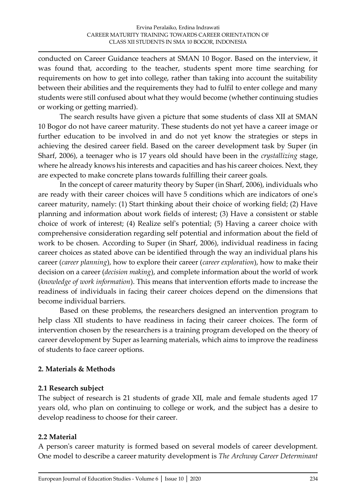conducted on Career Guidance teachers at SMAN 10 Bogor. Based on the interview, it was found that, according to the teacher, students spent more time searching for requirements on how to get into college, rather than taking into account the suitability between their abilities and the requirements they had to fulfil to enter college and many students were still confused about what they would become (whether continuing studies or working or getting married).

The search results have given a picture that some students of class XII at SMAN 10 Bogor do not have career maturity. These students do not yet have a career image or further education to be involved in and do not yet know the strategies or steps in achieving the desired career field. Based on the career development task by Super (in Sharf, 2006), a teenager who is 17 years old should have been in the *crystallizing* stage, where he already knows his interests and capacities and has his career choices. Next, they are expected to make concrete plans towards fulfilling their career goals.

In the concept of career maturity theory by Super (in Sharf, 2006), individuals who are ready with their career choices will have 5 conditions which are indicators of one's career maturity, namely: (1) Start thinking about their choice of working field; (2) Have planning and information about work fields of interest; (3) Have a consistent or stable choice of work of interest; (4) Realize self's potential; (5) Having a career choice with comprehensive consideration regarding self potential and information about the field of work to be chosen. According to Super (in Sharf, 2006), individual readiness in facing career choices as stated above can be identified through the way an individual plans his career (*career planning*), how to explore their career (*career exploration*), how to make their decision on a career (*decision making*), and complete information about the world of work (*knowledge of work information*). This means that intervention efforts made to increase the readiness of individuals in facing their career choices depend on the dimensions that become individual barriers.

Based on these problems, the researchers designed an intervention program to help class XII students to have readiness in facing their career choices. The form of intervention chosen by the researchers is a training program developed on the theory of career development by Super as learning materials, which aims to improve the readiness of students to face career options.

# **2. Materials & Methods**

### **2.1 Research subject**

The subject of research is 21 students of grade XII, male and female students aged 17 years old, who plan on continuing to college or work, and the subject has a desire to develop readiness to choose for their career.

# **2.2 Material**

A person's career maturity is formed based on several models of career development. One model to describe a career maturity development is *The Archway Career Determinant*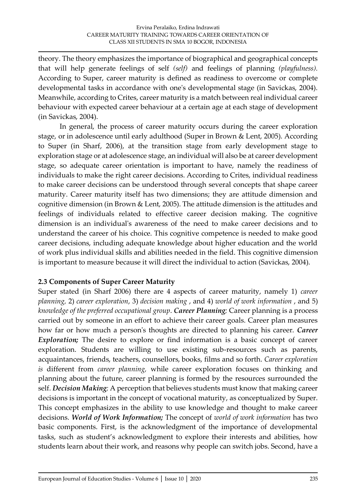theory. The theory emphasizes the importance of biographical and geographical concepts that will help generate feelings of self *(self)* and feelings of planning *(playfulness).*  According to Super, career maturity is defined as readiness to overcome or complete developmental tasks in accordance with one's developmental stage (in Savickas, 2004). Meanwhile, according to Crites, career maturity is a match between real individual career behaviour with expected career behaviour at a certain age at each stage of development (in Savickas, 2004).

In general, the process of career maturity occurs during the career exploration stage, or in adolescence until early adulthood (Super in Brown & Lent, 2005). According to Super (in Sharf, 2006), at the transition stage from early development stage to exploration stage or at adolescence stage, an individual will also be at career development stage, so adequate career orientation is important to have, namely the readiness of individuals to make the right career decisions. According to Crites, individual readiness to make career decisions can be understood through several concepts that shape career maturity. Career maturity itself has two dimensions; they are attitude dimension and cognitive dimension (in Brown & Lent, 2005). The attitude dimension is the attitudes and feelings of individuals related to effective career decision making. The cognitive dimension is an individual's awareness of the need to make career decisions and to understand the career of his choice. This cognitive competence is needed to make good career decisions, including adequate knowledge about higher education and the world of work plus individual skills and abilities needed in the field. This cognitive dimension is important to measure because it will direct the individual to action (Savickas, 2004).

### **2.3 Components of Super Career Maturity**

Super stated (in Sharf 2006) there are 4 aspects of career maturity, namely 1) *career planning,* 2) *career exploration*, 3) *decision making* , and 4) *world of work information* , and 5) *knowledge of the preferred occupational group*. *Career Planning;* Career planning is a process carried out by someone in an effort to achieve their career goals. Career plan measures how far or how much a person's thoughts are directed to planning his career. *Career Exploration;* The desire to explore or find information is a basic concept of career exploration. Students are willing to use existing sub-resources such as parents, acquaintances, friends, teachers, counsellors, books, films and so forth. *Career exploration is* different from *career planning,* while career exploration focuses on thinking and planning about the future, career planning is formed by the resources surrounded the self. *Decision Making;* A perception that believes students must know that making career decisions is important in the concept of vocational maturity, as conceptualized by Super. This concept emphasizes in the ability to use knowledge and thought to make career decisions. *World of Work Information;* The concept of *world of work information* has two basic components. First, is the acknowledgment of the importance of developmental tasks, such as student's acknowledgment to explore their interests and abilities, how students learn about their work, and reasons why people can switch jobs. Second, have a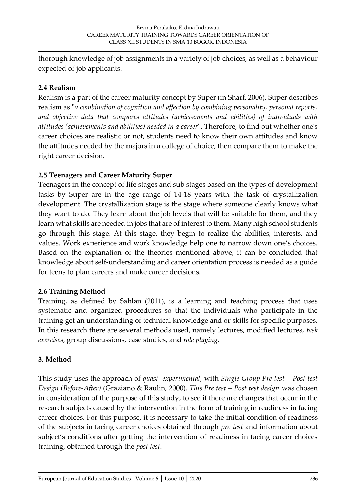thorough knowledge of job assignments in a variety of job choices, as well as a behaviour expected of job applicants.

## **2.4 Realism**

Realism is a part of the career maturity concept by Super (in Sharf, 2006). Super describes realism as "*a combination of cognition and affection by combining personality, personal reports, and objective data that compares attitudes (achievements and abilities) of individuals with attitudes (achievements and abilities) needed in a career*". Therefore, to find out whether one's career choices are realistic or not, students need to know their own attitudes and know the attitudes needed by the majors in a college of choice, then compare them to make the right career decision.

## **2.5 Teenagers and Career Maturity Super**

Teenagers in the concept of life stages and sub stages based on the types of development tasks by Super are in the age range of 14-18 years with the task of crystallization development. The crystallization stage is the stage where someone clearly knows what they want to do. They learn about the job levels that will be suitable for them, and they learn what skills are needed in jobs that are of interest to them. Many high school students go through this stage. At this stage, they begin to realize the abilities, interests, and values. Work experience and work knowledge help one to narrow down one's choices. Based on the explanation of the theories mentioned above, it can be concluded that knowledge about self-understanding and career orientation process is needed as a guide for teens to plan careers and make career decisions.

# **2.6 Training Method**

Training, as defined by Sahlan (2011), is a learning and teaching process that uses systematic and organized procedures so that the individuals who participate in the training get an understanding of technical knowledge and or skills for specific purposes. In this research there are several methods used, namely lectures, modified lectures, *task exercises*, group discussions, case studies, and *role playing*.

# **3. Method**

This study uses the approach of *quasi- experimental*, with *Single Group Pre test – Post test Design (Before-After)* (Graziano & Raulin, 2000). *This Pre test – Post test design* was chosen in consideration of the purpose of this study, to see if there are changes that occur in the research subjects caused by the intervention in the form of training in readiness in facing career choices. For this purpose, it is necessary to take the initial condition of readiness of the subjects in facing career choices obtained through *pre test* and information about subject's conditions after getting the intervention of readiness in facing career choices training, obtained through the *post test*.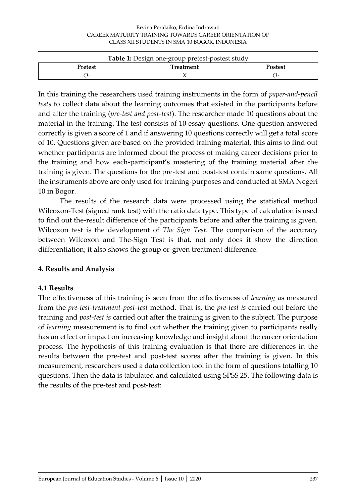| <b>Table 1:</b> Design one-group pretest-postest study |           |                |  |
|--------------------------------------------------------|-----------|----------------|--|
| <b>Pretest</b>                                         | Treatment | <b>Postest</b> |  |
|                                                        |           |                |  |

In this training the researchers used training instruments in the form of *paper-and-pencil tests* to collect data about the learning outcomes that existed in the participants before and after the training (*pre-test and post-test*). The researcher made 10 questions about the material in the training. The test consists of 10 essay questions. One question answered correctly is given a score of 1 and if answering 10 questions correctly will get a total score of 10. Questions given are based on the provided training material, this aims to find out whether participants are informed about the process of making career decisions prior to the training and how each-participant's mastering of the training material after the training is given. The questions for the pre-test and post-test contain same questions. All the instruments above are only used for training-purposes and conducted at SMA Negeri 10 in Bogor.

The results of the research data were processed using the statistical method Wilcoxon-Test (signed rank test) with the ratio data type. This type of calculation is used to find out the-result difference of the participants before and after the training is given. Wilcoxon test is the development of *The Sign Test*. The comparison of the accuracy between Wilcoxon and The-Sign Test is that, not only does it show the direction differentiation; it also shows the group or-given treatment difference.

### **4. Results and Analysis**

### **4.1 Results**

The effectiveness of this training is seen from the effectiveness of *learning* as measured from the *pre-test-treatment-post-test* method. That is, the *pre-test is* carried out before the training and *post-test is* carried out after the training is given to the subject. The purpose of *learning* measurement is to find out whether the training given to participants really has an effect or impact on increasing knowledge and insight about the career orientation process. The hypothesis of this training evaluation is that there are differences in the results between the pre-test and post-test scores after the training is given. In this measurement, researchers used a data collection tool in the form of questions totalling 10 questions. Then the data is tabulated and calculated using SPSS 25. The following data is the results of the pre-test and post-test: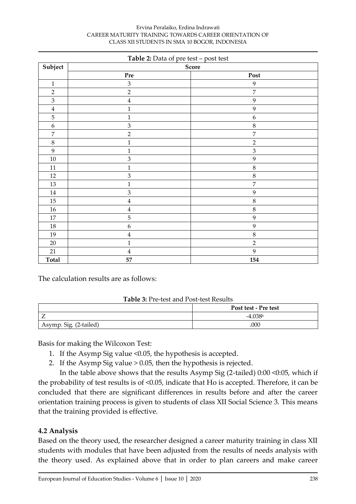#### Ervina Peralaiko, Erdina Indrawati CAREER MATURITY TRAINING TOWARDS CAREER ORIENTATION OF CLASS XII STUDENTS IN SMA 10 BOGOR, INDONESIA

| <b>Table 2:</b> Data of pre test – post test |                             |                  |
|----------------------------------------------|-----------------------------|------------------|
| Subject                                      |                             | Score            |
|                                              | Pre                         | Post             |
| $1\,$                                        | $\ensuremath{\mathfrak{Z}}$ | 9                |
| $\sqrt{2}$                                   | $\overline{c}$              | $\overline{7}$   |
| $\ensuremath{\mathfrak{Z}}$                  | $\bf 4$                     | 9                |
| $\bf 4$                                      | $\mathbf{1}$                | 9                |
| $\mathbf 5$                                  | $\mathbf{1}$                | $\boldsymbol{6}$ |
| $\boldsymbol{6}$                             | 3                           | $8\,$            |
| $\boldsymbol{7}$                             | $\overline{c}$              | $\overline{7}$   |
| $\,8\,$                                      | $\mathbf{1}$                | $\overline{2}$   |
| $\boldsymbol{9}$                             | $\mathbf{1}$                | $\mathfrak{Z}$   |
| $10\,$                                       | 3                           | 9                |
| 11                                           | $\mathbf{1}$                | $8\,$            |
| $12\,$                                       | $\mathfrak{Z}$              | $8\,$            |
| 13                                           | $\mathbf{1}$                | $\overline{7}$   |
| $14\,$                                       | 3                           | 9                |
| 15                                           | $\bf 4$                     | $8\,$            |
| $16\,$                                       | $\bf 4$                     | $8\,$            |
| $17\,$                                       | 5                           | 9                |
| $18\,$                                       | $\boldsymbol{6}$            | 9                |
| 19                                           | $\bf 4$                     | $8\,$            |
| 20                                           | $\mathbf{1}$                | $\overline{2}$   |
| 21                                           | $\bf 4$                     | 9                |
| <b>Total</b>                                 | 57                          | 154              |

The calculation results are as follows:

### **Table 3:** Pre-test and Post-test Results

|                        | Post test - Pre test |
|------------------------|----------------------|
| -                      | $-4.038b$            |
| Asymp. Sig. (2-tailed) | .000                 |

Basis for making the Wilcoxon Test:

- 1. If the Asymp Sig value <0.05, the hypothesis is accepted.
- 2. If the Asymp Sig value > 0.05, then the hypothesis is rejected.

In the table above shows that the results Asymp Sig (2-tailed) 0:00 <0:05, which if the probability of test results is of <0.05, indicate that Ho is accepted. Therefore, it can be concluded that there are significant differences in results before and after the career orientation training process is given to students of class XII Social Science 3. This means that the training provided is effective.

# **4.2 Analysis**

Based on the theory used, the researcher designed a career maturity training in class XII students with modules that have been adjusted from the results of needs analysis with the theory used. As explained above that in order to plan careers and make career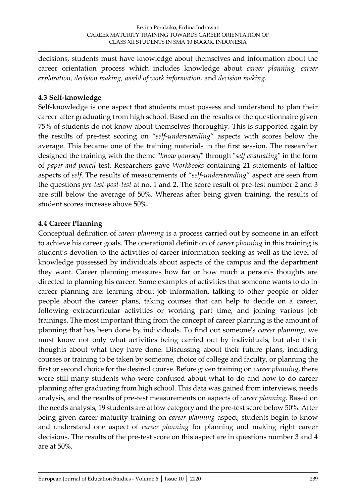decisions, students must have knowledge about themselves and information about the career orientation process which includes knowledge about *career planning, career exploration, decision making, world of work information,* and *decision making*.

### **4.3 Self-knowledge**

Self-knowledge is one aspect that students must possess and understand to plan their career after graduating from high school. Based on the results of the questionnaire given 75% of students do not know about themselves thoroughly. This is supported again by the results of pre-test scoring on "*self-understanding*" aspects with scores below the average. This became one of the training materials in the first session. The researcher designed the training with the theme "*know yourself*" through "*self evaluating*" in the form of *paper-and-pencil* test*.* Researchers gave *Workbooks* containing 21 statements of lattice aspects of *self*. The results of measurements of "*self-understanding*" aspect are seen from the questions *pre-test-post-test* at no. 1 and 2. The score result of pre-test number 2 and 3 are still below the average of 50%. Whereas after being given training, the results of student scores increase above 50%.

## **4.4 Career Planning**

Conceptual definition of *career planning* is a process carried out by someone in an effort to achieve his career goals. The operational definition of *career planning* in this training is student's devotion to the activities of career information seeking as well as the level of knowledge possessed by individuals about aspects of the campus and the department they want. Career planning measures how far or how much a person's thoughts are directed to planning his career. Some examples of activities that someone wants to do in career planning are: learning about job information, talking to other people or older people about the career plans, taking courses that can help to decide on a career, following extracurricular activities or working part time, and joining various job trainings. The most important thing from the concept of career planning is the amount of planning that has been done by individuals. To find out someone's *career planning*, we must know not only what activities being carried out by individuals, but also their thoughts about what they have done. Discussing about their future plans, including courses or training to be taken by someone, choice of college and faculty, or planning the first or second choice for the desired course. Before given training on *career planning*, there were still many students who were confused about what to do and how to do career planning after graduating from high school. This data was gained from interviews, needs analysis, and the results of pre-test measurements on aspects of *career planning.* Based on the needs analysis, 19 students are at low category and the pre-test score below 50%. After being given career maturity training on *career planning* aspect, students begin to know and understand one aspect of *career planning* for planning and making right career decisions. The results of the pre-test score on this aspect are in questions number 3 and 4 are at 50%.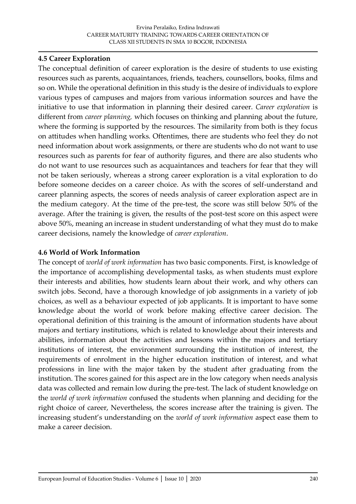### **4.5 Career Exploration**

The conceptual definition of career exploration is the desire of students to use existing resources such as parents, acquaintances, friends, teachers, counsellors, books, films and so on. While the operational definition in this study is the desire of individuals to explore various types of campuses and majors from various information sources and have the initiative to use that information in planning their desired career. *Career exploration* is different from *career planning,* which focuses on thinking and planning about the future, where the forming is supported by the resources. The similarity from both is they focus on attitudes when handling works. Oftentimes, there are students who feel they do not need information about work assignments, or there are students who do not want to use resources such as parents for fear of authority figures, and there are also students who do not want to use resources such as acquaintances and teachers for fear that they will not be taken seriously, whereas a strong career exploration is a vital exploration to do before someone decides on a career choice. As with the scores of self-understand and career planning aspects, the scores of needs analysis of career exploration aspect are in the medium category. At the time of the pre-test, the score was still below 50% of the average. After the training is given, the results of the post-test score on this aspect were above 50%, meaning an increase in student understanding of what they must do to make career decisions, namely the knowledge of *career exploration*.

### **4.6 World of Work Information**

The concept of *world of work information* has two basic components. First, is knowledge of the importance of accomplishing developmental tasks, as when students must explore their interests and abilities, how students learn about their work, and why others can switch jobs. Second, have a thorough knowledge of job assignments in a variety of job choices, as well as a behaviour expected of job applicants. It is important to have some knowledge about the world of work before making effective career decision. The operational definition of this training is the amount of information students have about majors and tertiary institutions, which is related to knowledge about their interests and abilities, information about the activities and lessons within the majors and tertiary institutions of interest, the environment surrounding the institution of interest, the requirements of enrolment in the higher education institution of interest, and what professions in line with the major taken by the student after graduating from the institution. The scores gained for this aspect are in the low category when needs analysis data was collected and remain low during the pre-test. The lack of student knowledge on the *world of work information* confused the students when planning and deciding for the right choice of career, Nevertheless, the scores increase after the training is given. The increasing student's understanding on the *world of work information* aspect ease them to make a career decision.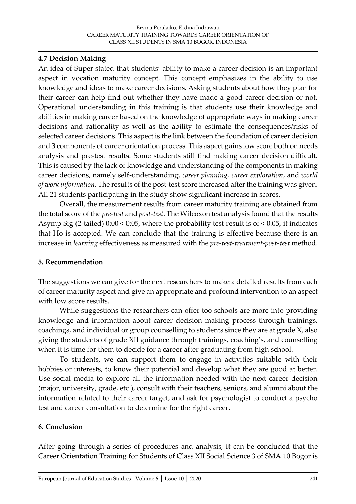### **4.7 Decision Making**

An idea of Super stated that students' ability to make a career decision is an important aspect in vocation maturity concept. This concept emphasizes in the ability to use knowledge and ideas to make career decisions. Asking students about how they plan for their career can help find out whether they have made a good career decision or not. Operational understanding in this training is that students use their knowledge and abilities in making career based on the knowledge of appropriate ways in making career decisions and rationality as well as the ability to estimate the consequences/risks of selected career decisions. This aspect is the link between the foundation of career decision and 3 components of career orientation process. This aspect gains low score both on needs analysis and pre-test results. Some students still find making career decision difficult. This is caused by the lack of knowledge and understanding of the components in making career decisions, namely self-understanding, *career planning, career exploration*, and *world of work information.* The results of the post-test score increased after the training was given. All 21 students participating in the study show significant increase in scores.

Overall, the measurement results from career maturity training are obtained from the total score of the *pre-test* and *post-test*. The Wilcoxon test analysis found that the results Asymp Sig (2-tailed) 0:00 < 0:05, where the probability test result is of < 0.05, it indicates that Ho is accepted. We can conclude that the training is effective because there is an increase in *learning* effectiveness as measured with the *pre-test-treatment-post-test* method.

### **5. Recommendation**

The suggestions we can give for the next researchers to make a detailed results from each of career maturity aspect and give an appropriate and profound intervention to an aspect with low score results.

While suggestions the researchers can offer too schools are more into providing knowledge and information about career decision making process through trainings, coachings, and individual or group counselling to students since they are at grade X, also giving the students of grade XII guidance through trainings, coaching's, and counselling when it is time for them to decide for a career after graduating from high school.

To students, we can support them to engage in activities suitable with their hobbies or interests, to know their potential and develop what they are good at better. Use social media to explore all the information needed with the next career decision (major, university, grade, etc.), consult with their teachers, seniors, and alumni about the information related to their career target, and ask for psychologist to conduct a psycho test and career consultation to determine for the right career.

### **6. Conclusion**

After going through a series of procedures and analysis, it can be concluded that the Career Orientation Training for Students of Class XII Social Science 3 of SMA 10 Bogor is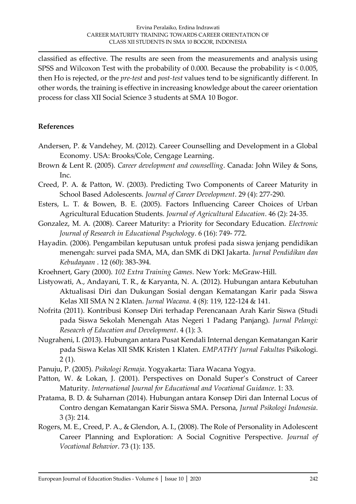classified as effective. The results are seen from the measurements and analysis using SPSS and Wilcoxon Test with the probability of 0.000. Because the probability is < 0.005, then Ho is rejected, or the *pre-test* and *post-test* values tend to be significantly different. In other words, the training is effective in increasing knowledge about the career orientation process for class XII Social Science 3 students at SMA 10 Bogor.

## **References**

- Andersen, P. & Vandehey, M. (2012). Career Counselling and Development in a Global Economy. USA: Brooks/Cole, Cengage Learning.
- Brown & Lent R. (2005). *Career development and counselling*. Canada: John Wiley & Sons, Inc.
- Creed, P. A. & Patton, W. (2003). Predicting Two Components of Career Maturity in School Based Adolescents. *Journal of Career Development*. 29 (4): 277-290.
- Esters, L. T. & Bowen, B. E. (2005). Factors Influencing Career Choices of Urban Agricultural Education Students. *Journal of Agricultural Education*. 46 (2): 24-35.
- Gonzalez, M. A. (2008). Career Maturity: a Priority for Secondary Education. *Electronic Journal of Research in Educational Psychology*. 6 (16): 749- 772.
- Hayadin. (2006). Pengambilan keputusan untuk profesi pada siswa jenjang pendidikan menengah: survei pada SMA, MA, dan SMK di DKI Jakarta. *Jurnal Pendidikan dan Kebudayaan* . 12 (60): 383-394.
- Kroehnert, Gary (2000). *102 Extra Training Games*. New York: McGraw-Hill.
- Listyowati, A., Andayani, T. R., & Karyanta, N. A. (2012). Hubungan antara Kebutuhan Aktualisasi Diri dan Dukungan Sosial dengan Kematangan Karir pada Siswa Kelas XII SMA N 2 Klaten. *Jurnal Wacana*. 4 (8): 119, 122-124 & 141.
- Nofrita (2011). Kontribusi Konsep Diri terhadap Perencanaan Arah Karir Siswa (Studi pada Siswa Sekolah Menengah Atas Negeri 1 Padang Panjang). *Jurnal Pelangi: Reseacrh of Education and Development*. 4 (1): 3.
- Nugraheni, I. (2013). Hubungan antara Pusat Kendali Internal dengan Kematangan Karir pada Siswa Kelas XII SMK Kristen 1 Klaten. *EMPATHY Jurnal Fakultas* Psikologi.  $2(1)$ .
- Panuju, P. (2005). *Psikologi Remaja*. Yogyakarta: Tiara Wacana Yogya.
- Patton, W. & Lokan, J. (2001). Perspectives on Donald Super's Construct of Career Maturity. *International Journal for Educational and Vocational Guidance*. 1: 33.
- Pratama, B. D. & Suharnan (2014). Hubungan antara Konsep Diri dan Internal Locus of Contro dengan Kematangan Karir Siswa SMA. Persona, *Jurnal Psikologi Indonesia*. 3 (3): 214.
- Rogers, M. E., Creed, P. A., & Glendon, A. I., (2008). The Role of Personality in Adolescent Career Planning and Exploration: A Social Cognitive Perspective. *Journal of Vocational Behavior*. 73 (1): 135.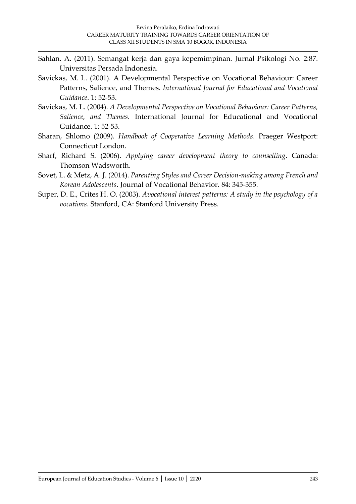- Sahlan. A. (2011). Semangat kerja dan gaya kepemimpinan. Jurnal Psikologi No. 2:87. Universitas Persada Indonesia.
- Savickas, M. L. (2001). A Developmental Perspective on Vocational Behaviour: Career Patterns, Salience, and Themes. *International Journal for Educational and Vocational Guidance*. 1: 52-53.
- Savickas, M. L. (2004). *A Developmental Perspective on Vocational Behaviour: Career Patterns, Salience, and Themes*. International Journal for Educational and Vocational Guidance. 1: 52-53.
- Sharan, Shlomo (2009). *Handbook of Cooperative Learning Methods*. Praeger Westport: Connecticut London.
- Sharf, Richard S. (2006). *Applying career development theory to counselling*. Canada: Thomson Wadsworth.
- Sovet, L. & Metz, A. J. (2014). *Parenting Styles and Career Decision-making among French and Korean Adolescents*. Journal of Vocational Behavior. 84: 345-355.
- Super, D. E., Crites H. O. (2003). *Avocational interest patterns: A study in the psychology of a vocations*. Stanford, CA: Stanford University Press.